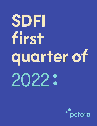## **SDFI first quarter of** 2022

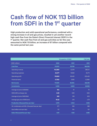## Cash flow of NOK 113 billion from SDFI in the 1<sup>st</sup> quarter

High production and solid operational performance, combined with a strong increase in oil and gas prices, resulted in yet another recordhigh cash flow from the State's Direct Financial Interest (SDFI) in the 1<sup>st</sup> quarter. Net cash flow from oil and gas activities so far this year amounted to NOK 113 billion, an increase of 87 billion compared with the same period last year.

|                                                | 1st quarter of 2022 |        | <b>Full year</b> |
|------------------------------------------------|---------------------|--------|------------------|
| (NOK million)                                  | 2022                | 2021   | 2021             |
| <b>Cash flow</b>                               | 113,001             | 25,786 | 186,058          |
| <b>Operating revenue</b>                       | 142,860             | 42,019 | 286,141          |
| <b>Operating expenses</b>                      | 23,277              | 15,569 | 62,711           |
| Operating profit                               | 119,583             | 26,450 | 223,430          |
| <b>Financial items</b>                         | (1,753)             | (526)  | (1,296)          |
| <b>Net income</b>                              | 117,830             | 25,924 | 222,135          |
| <b>Investments</b>                             | 5,938               | 5,803  | 25,896           |
| Average oil price (USD/bbl)                    | 104                 | 61     | 70               |
| NOK/USD exchange rate                          | 8.89                | 8.55   | 8.60             |
| Average oil price (NOK/bbl)                    | 925                 | 518    | 603              |
| Average gas price (NOK/scm)                    | 10.22               | 2.16   | 4.78             |
| <b>Production (thousand boe per day)</b>       | 1,078               | 1,046  | 1,026            |
| Oil, condensate and NGL (thousand boe per day) | 377                 | 393    | 388              |
| Gas (million scm per day)                      | 112                 | 104    | 101              |
| <b>Sales (thousand boe per day)</b>            | 1,121               | 1,122  | 1,085            |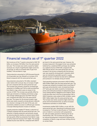

## Financial results as of 1<sup>st</sup> quarter 2022

Net income as of the 1<sup>st</sup> quarter amounted to NOK 118 billion, an increase of 92 billion from the same period last year. The increase was mainly caused by higher revenues as a result of significantly higher prices for oil and gas, as well as increased sales of gas from Gullfaks, Troll and Martin Linge.

Total production amounted to 1,078 thousand barrels of oil equivalent per day (kboed), an increase of 32 kboed compared with the same period last year.

Gas production amounted to 112 million standard cubic metres (mill. scm) per day, an increase of eight per cent compared with the same period last year. The increase was primarily caused by increased gas extraction on Gullfaks and Troll, as well as production from Martin Linge, which came on stream in the summer of 2021. The increase was partially offset by lower gas extraction on Oseberg and Ormen Lange. The average realised gas price was NOK 10.22 per scm, compared with NOK 2.16 in the same period last year. The reason for the strong increase in gas prices was mainly caused by strong demand, relatively low volumes in storage at the start of the year, and uncertainty related to access to sufficient gas volumes in Europe following Russia's invasion of Ukraine.

Liquids production totalled 377 kboed, a reduction of 17 kboed compared with the same period last year. The reduction in liquids production was primarily caused by natural production decline on several mature fields, and was partly offset by production from Martin Linge, as well as improved recovery from Vigdis. The average realised oil price was USD 104, compared with USD 61

per barrel in the same period last year. However, the increase measured in Norwegian kroner was somewhat bolstered by a weakened NOK exchange rate, leading to a realised oil price of NOK 925, compared with NOK 518 per barrel in the same period last year. The increase in the oil price compared with the previous year was caused by strong growth in demand, which was not matched by equivalent growth in supply. Russia's invasion of Ukraine has also led to additional price pressure in an already strong oil market.

Total operating expenses amounted to NOK 23 billion, NOK 8 billion higher than the same period last year. The increase was caused by increased costs to purchase 3rd party gas and production costs. Increased purchases of 3<sup>rd</sup> party gas was mainly caused by increased gas prices and continued purchases of replacement gas to cover existing delivery obligations from Snøhvit, which is still shut down due to the fire at Hammerfest LNG in 2020. Production costs ended at NOK 4.8 billion, nearly NOK 1 billion higher than the same period last year. The increase was mainly caused by higher electricity prices and environmental taxes, as well as increased maintenance activities on certain fields.

Investments totalled NOK 6 billion, on par with the same period last year. Operational investments have increased on Troll due to electrification of Troll West, and on Snøhvit in connection with preparations for safe and stable operations following the fire at Hammerfest LNG. The increase was partly offset by reduced development investments following the completion of Martin Linge and lower drilling activity on certain fields.